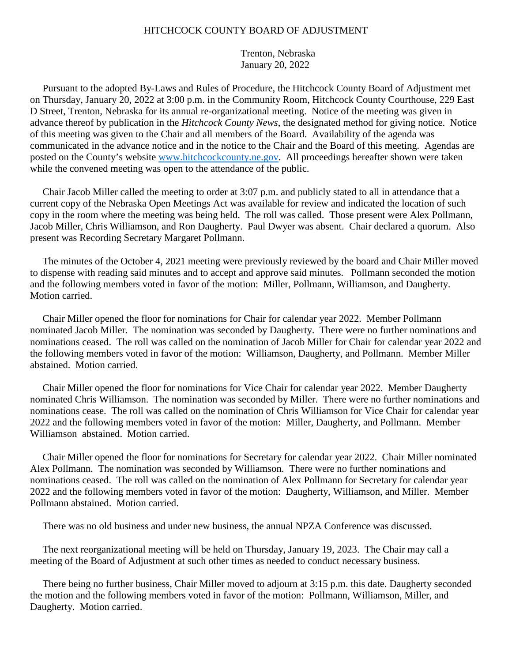## HITCHCOCK COUNTY BOARD OF ADJUSTMENT

 Trenton, Nebraska January 20, 2022

 Pursuant to the adopted By-Laws and Rules of Procedure, the Hitchcock County Board of Adjustment met on Thursday, January 20, 2022 at 3:00 p.m. in the Community Room, Hitchcock County Courthouse, 229 East D Street, Trenton, Nebraska for its annual re-organizational meeting. Notice of the meeting was given in advance thereof by publication in the *Hitchcock County News*, the designated method for giving notice. Notice of this meeting was given to the Chair and all members of the Board. Availability of the agenda was communicated in the advance notice and in the notice to the Chair and the Board of this meeting. Agendas are posted on the County's website www.hitchcockcounty.ne.gov. All proceedings hereafter shown were taken while the convened meeting was open to the attendance of the public.

 Chair Jacob Miller called the meeting to order at 3:07 p.m. and publicly stated to all in attendance that a current copy of the Nebraska Open Meetings Act was available for review and indicated the location of such copy in the room where the meeting was being held. The roll was called. Those present were Alex Pollmann, Jacob Miller, Chris Williamson, and Ron Daugherty. Paul Dwyer was absent. Chair declared a quorum. Also present was Recording Secretary Margaret Pollmann.

 The minutes of the October 4, 2021 meeting were previously reviewed by the board and Chair Miller moved to dispense with reading said minutes and to accept and approve said minutes. Pollmann seconded the motion and the following members voted in favor of the motion: Miller, Pollmann, Williamson, and Daugherty. Motion carried.

 Chair Miller opened the floor for nominations for Chair for calendar year 2022. Member Pollmann nominated Jacob Miller. The nomination was seconded by Daugherty. There were no further nominations and nominations ceased. The roll was called on the nomination of Jacob Miller for Chair for calendar year 2022 and the following members voted in favor of the motion: Williamson, Daugherty, and Pollmann. Member Miller abstained. Motion carried.

 Chair Miller opened the floor for nominations for Vice Chair for calendar year 2022. Member Daugherty nominated Chris Williamson. The nomination was seconded by Miller. There were no further nominations and nominations cease. The roll was called on the nomination of Chris Williamson for Vice Chair for calendar year 2022 and the following members voted in favor of the motion: Miller, Daugherty, and Pollmann. Member Williamson abstained. Motion carried.

 Chair Miller opened the floor for nominations for Secretary for calendar year 2022. Chair Miller nominated Alex Pollmann. The nomination was seconded by Williamson. There were no further nominations and nominations ceased. The roll was called on the nomination of Alex Pollmann for Secretary for calendar year 2022 and the following members voted in favor of the motion: Daugherty, Williamson, and Miller. Member Pollmann abstained. Motion carried.

There was no old business and under new business, the annual NPZA Conference was discussed.

 The next reorganizational meeting will be held on Thursday, January 19, 2023. The Chair may call a meeting of the Board of Adjustment at such other times as needed to conduct necessary business.

 There being no further business, Chair Miller moved to adjourn at 3:15 p.m. this date. Daugherty seconded the motion and the following members voted in favor of the motion: Pollmann, Williamson, Miller, and Daugherty. Motion carried.